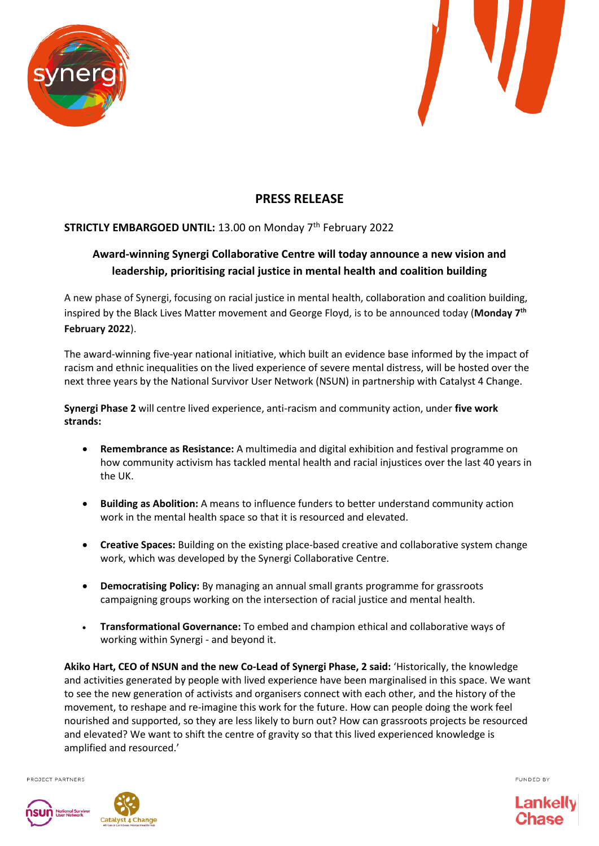



# **PRESS RELEASE**

### **STRICTLY EMBARGOED UNTIL:** 13.00 on Monday 7th February 2022

## **Award-winning Synergi Collaborative Centre will today announce a new vision and leadership, prioritising racial justice in mental health and coalition building**

A new phase of Synergi, focusing on racial justice in mental health, collaboration and coalition building, inspired by the Black Lives Matter movement and George Floyd, is to be announced today (**Monday 7th February 2022**).

The award-winning five-year national initiative, which built an evidence base informed by the impact of racism and ethnic inequalities on the lived experience of severe mental distress, will be hosted over the next three years by the National Survivor User Network (NSUN) in partnership with Catalyst 4 Change.

**Synergi Phase 2** will centre lived experience, anti-racism and community action, under **five work strands:**

- **Remembrance as Resistance:** A multimedia and digital exhibition and festival programme on how community activism has tackled mental health and racial injustices over the last 40 years in the UK.
- **Building as Abolition:** A means to influence funders to better understand community action work in the mental health space so that it is resourced and elevated.
- **Creative Spaces:** Building on the existing place-based creative and collaborative system change work, which was developed by the [Synergi](https://synergicollaborativecentre.co.uk/connect/creative-spaces/) Collaborative Centre.
- **Democratising Policy:** By managing an annual small grants programme for grassroots campaigning groups working on the intersection of racial justice and mental health.
- **Transformational Governance:** To embed and champion ethical and collaborative ways of working within Synergi - and beyond it.

**Akiko Hart, CEO of NSUN and the new Co-Lead of Synergi Phase, 2 said:** 'Historically, the knowledge and activities generated by people with lived experience have been marginalised in this space. We want to see the new generation of activists and organisers connect with each other, and the history of the movement, to reshape and re-imagine this work for the future. How can people doing the work feel nourished and supported, so they are less likely to burn out? How can grassroots projects be resourced and elevated? We want to shift the centre of gravity so that this lived experienced knowledge is amplified and resourced.'

PROJECT PARTNERS



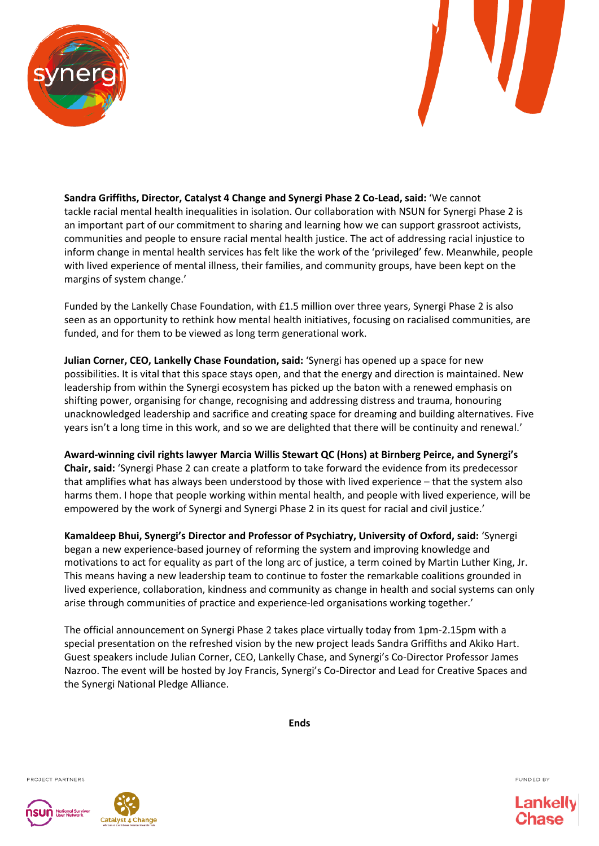



**Sandra Griffiths, Director, Catalyst 4 Change and Synergi Phase 2 Co-Lead, said:** 'We cannot tackle racial mental health inequalities in isolation. Our collaboration with NSUN for Synergi Phase 2 is an important part of our commitment to sharing and learning how we can support grassroot activists, communities and people to ensure racial mental health justice. The act of addressing racial injustice to inform change in mental health services has felt like the work of the 'privileged' few. Meanwhile, people with lived experience of mental illness, their families, and community groups, have been kept on the margins of system change.'

Funded by the Lankelly Chase Foundation, with £1.5 million over three years, Synergi Phase 2 is also seen as an opportunity to rethink how mental health initiatives, focusing on racialised communities, are funded, and for them to be viewed as long term generational work.

**Julian Corner, CEO, Lankelly Chase Foundation, said:** 'Synergi has opened up a space for new possibilities. It is vital that this space stays open, and that the energy and direction is maintained. New leadership from within the Synergi ecosystem has picked up the baton with a renewed emphasis on shifting power, organising for change, recognising and addressing distress and trauma, honouring unacknowledged leadership and sacrifice and creating space for dreaming and building alternatives. Five years isn't a long time in this work, and so we are delighted that there will be continuity and renewal.'

**Award-winning civil rights lawyer Marcia Willis Stewart QC (Hons) at Birnberg Peirce, and Synergi's Chair, said:** 'Synergi Phase 2 can create a platform to take forward the evidence from its predecessor that amplifies what has always been understood by those with lived experience – that the system also harms them. I hope that people working within mental health, and people with lived experience, will be empowered by the work of Synergi and Synergi Phase 2 in its quest for racial and civil justice.'

**Kamaldeep Bhui, Synergi's Director and Professor of Psychiatry, University of Oxford, said:** 'Synergi began a new experience-based journey of reforming the system and improving knowledge and motivations to act for equality as part of the long arc of justice, a term coined by Martin Luther King, Jr. This means having a new leadership team to continue to foster the remarkable coalitions grounded in lived experience, collaboration, kindness and community as change in health and social systems can only arise through communities of practice and experience-led organisations working together.'

The official announcement on Synergi Phase 2 takes place virtually today from 1pm-2.15pm with a special presentation on the refreshed vision by the new project leads Sandra Griffiths and Akiko Hart. Guest speakers include Julian Corner, CEO, Lankelly Chase, and Synergi's Co-Director Professor James Nazroo. The event will be hosted by Joy Francis, Synergi's Co-Director and Lead for Creative Spaces and the Synergi National Pledge Alliance.

**Ends**

PROJECT PARTNERS





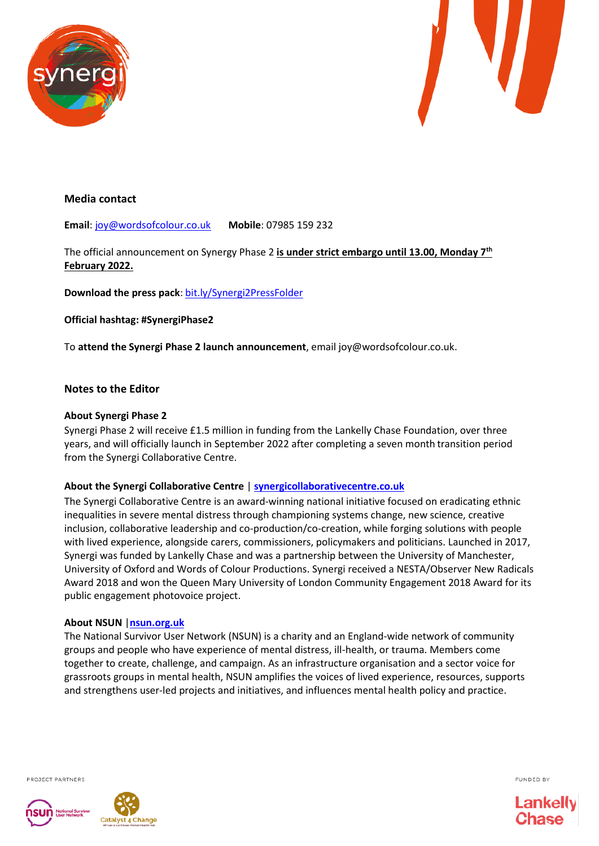



#### **Media contact**

**Email**[: joy@wordsofcolour.co.uk](mailto:joy@wordsofcolour.co.uk) **Mobile**: 07985 159 232

The official announcement on Synergy Phase 2 **is under strict embargo until 13.00, Monday 7th February 2022.**

**Download the press pack**: [bit.ly/Synergi2PressFolder](https://bit.ly/Synergi2PressFolder)

**Official hashtag: #SynergiPhase2**

To **attend the Synergi Phase 2 launch announcement**, email joy@wordsofcolour.co.uk.

#### **Notes to the Editor**

#### **About Synergi Phase 2**

Synergi Phase 2 will receive £1.5 million in funding from the Lankelly Chase Foundation, over three years, and will officially launch in September 2022 after completing a seven month transition period from the Synergi Collaborative Centre.

#### **About the Synergi Collaborative Centre** | **[synergicollaborativecentre.co.uk](file:///C:/Users/akikohart/Downloads/synergicollaborativecentre.co.uk)**

The Synergi Collaborative Centre is an award-winning national initiative focused on eradicating ethnic inequalities in severe mental distress through championing systems change, new science, creative inclusion, collaborative leadership and co-production/co-creation, while forging solutions with people with lived experience, alongside carers, commissioners, policymakers and politicians. Launched in 2017, Synergi was funded by Lankelly Chase and was a partnership between the University of Manchester, University of Oxford and Words of Colour Productions. Synergi received a NESTA/Observer New Radicals Award 2018 and won the Queen Mary University of London Community Engagement 2018 Award for its public engagement photovoice project.

#### **About NSUN** |**[nsun.org.uk](file:///C:/Users/akikohart/Downloads/nsun.org.uk)**

The National Survivor User Network (NSUN) is a charity and an England-wide network of community groups and people who have experience of mental distress, ill-health, or trauma. Members come together to create, challenge, and campaign. As an infrastructure organisation and a sector voice for grassroots groups in mental health, NSUN amplifies the voices of lived experience, resources, supports and strengthens user-led projects and initiatives, and influences mental health policy and practice.

PROJECT PARTNERS